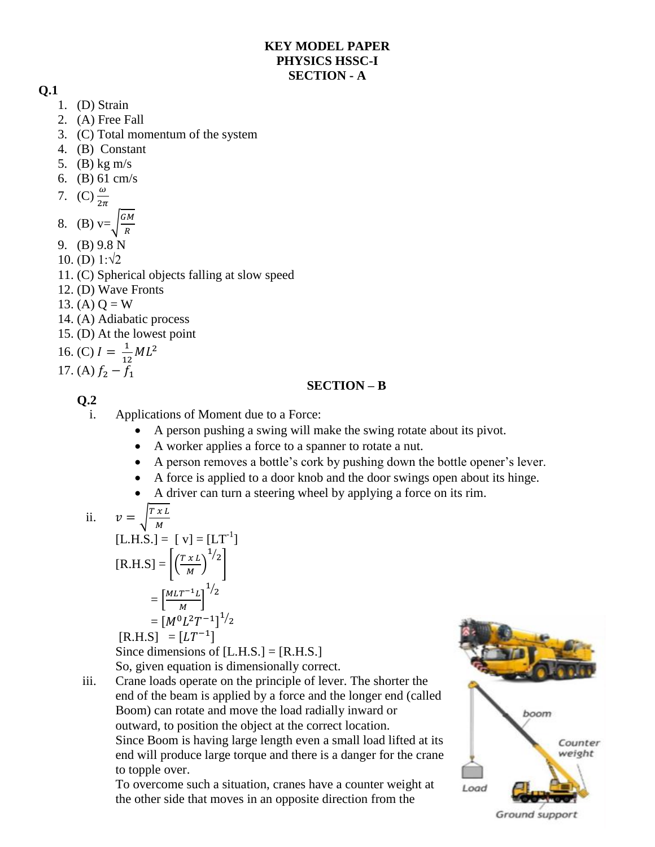#### **KEY MODEL PAPER PHYSICS HSSC-I SECTION - A**

- **Q.1**
	- 1. (D) Strain
	- 2. (A) Free Fall
	- 3. (C) Total momentum of the system
	- 4. (B) Constant
	- 5. (B) kg m/s
	- 6. (B) 61 cm/s

7. (C) 
$$
\frac{\omega}{2\pi}
$$

8. (B) 
$$
v = \sqrt{\frac{GM}{R}}
$$

9. (B) 
$$
9.8 \text{ N}
$$

- 10. (D)  $1:\sqrt{2}$
- 11. (C) Spherical objects falling at slow speed
- 12. (D) Wave Fronts
- 13. (A)  $Q = W$
- 14. (A) Adiabatic process
- 15. (D) At the lowest point

16. (C) 
$$
I = \frac{1}{12}ML^2
$$
  
17. (A)  $f_2 - f_1$ 

# **Q.2**

- **SECTION – B**
- i. Applications of Moment due to a Force:
	- A person pushing a swing will make the swing rotate about its pivot.
	- A worker applies a force to a spanner to rotate a nut.
	- A person removes a bottle's cork by pushing down the bottle opener's lever.
	- A force is applied to a door knob and the door swings open about its hinge.
	- A driver can turn a steering wheel by applying a force on its rim.

ii. 
$$
v = \sqrt{\frac{T \times L}{M}}
$$
  
\n[L.H.S.] = 
$$
\left[v\right] = \left[LT^{-1}\right]
$$
  
\n[R.H.S] = 
$$
\left[\left(\frac{T \times L}{M}\right)^{1/2}\right]
$$
  
\n
$$
= \left[\frac{MLT^{-1}L}{M}\right]^{1/2}
$$
  
\n[R.H.S] = 
$$
\left[LT^{-1}\right]
$$
  
\nSince dimensions of H.

Since dimensions of  $[L.H.S.] = [R.H.S.]$ 

So, given equation is dimensionally correct.

iii. Crane loads operate on the principle of lever. The shorter the end of the beam is applied by a force and the longer end (called Boom) can rotate and move the load radially inward or outward, to position the object at the correct location. Since Boom is having large length even a small load lifted at its end will produce large torque and there is a danger for the crane to topple over.

To overcome such a situation, cranes have a counter weight at the other side that moves in an opposite direction from the

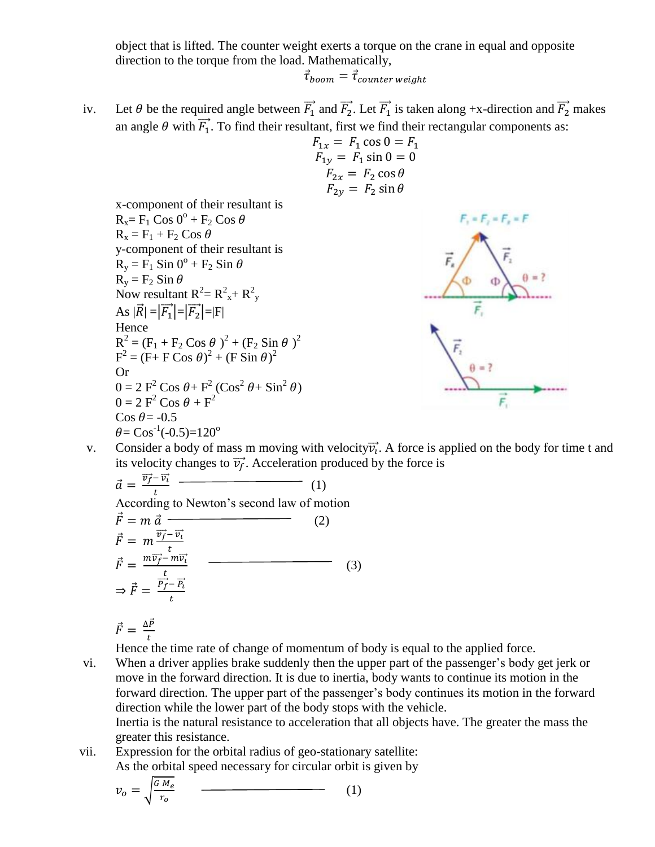object that is lifted. The counter weight exerts a torque on the crane in equal and opposite direction to the torque from the load. Mathematically,

 $\vec{\tau}_{boom} = \vec{\tau}_{counter\, weight}$ 

iv. Let  $\theta$  be the required angle between  $\vec{F_1}$  and  $\vec{F_2}$ . Let  $\vec{F_1}$  is taken along +x-direction and  $\vec{F_2}$  makes an angle  $\theta$  with  $\overrightarrow{F_1}$ . To find their resultant, first we find their rectangular components as:

$$
F_{1x} = F_1 \cos 0 = F_1
$$
  
\n
$$
F_{1y} = F_1 \sin 0 = 0
$$
  
\n
$$
F_{2x} = F_2 \cos \theta
$$
  
\n
$$
F_{2y} = F_2 \sin \theta
$$

x-component of their resultant is  $R_x = F_1 \cos 0^\circ + F_2 \cos$  $R_x = F_1 + F_2 \cos \theta$ y-component of their resultant is  $R_y = F_1 \sin 0^\circ + F_2 \sin$  $R_v = F_2$  Sin  $\theta$ Now resultant  $R^2 = R^2 + R^2$ As  $|\vec{R}| = |\vec{F}_1| = |\vec{F}_2| = |F|$ Hence  $R^2 = (F_1 + F_2 \cos \theta)^2 + (F_2 \sin \theta)^2$  $F^{2} = (F + F \cos \theta)^{2} + (F \sin \theta)^{2}$ Or  $0 = 2 F^2 \cos \theta + F^2 (\cos^2 \theta + \sin^2 \theta)$  $0 = 2 F^2 \cos \theta + F^2$ Cos  $\theta$  = -0.5  $\theta = \cos^{-1}(.0.5) = 120^{\circ}$ 



v. Consider a body of mass m moving with velocity  $\vec{v}_i$ . A force is applied on the body for time t and its velocity changes to  $\overrightarrow{v_f}$ . Acceleration produced by the force is

$$
\vec{a} = \frac{\vec{v}_f - \vec{v}_t}{t}
$$
\nAccording to Newton's second law of motion  
\n
$$
\vec{F} = m \vec{a}
$$
\n
$$
\vec{F} = m \frac{\vec{v}_f - \vec{v}_t}{t}
$$
\n
$$
\vec{F} = \frac{m\vec{v}_f - m\vec{v}_t}{t}
$$
\n
$$
\Rightarrow \vec{F} = \frac{\vec{P}_f - \vec{P}_t}{t}
$$
\n(3)

$$
\vec{F} = \frac{\Delta \vec{P}}{t}
$$

Hence the time rate of change of momentum of body is equal to the applied force.

- vi. When a driver applies brake suddenly then the upper part of the passenger's body get jerk or move in the forward direction. It is due to inertia, body wants to continue its motion in the forward direction. The upper part of the passenger's body continues its motion in the forward direction while the lower part of the body stops with the vehicle. Inertia is the natural resistance to acceleration that all objects have. The greater the mass the greater this resistance.
- vii. Expression for the orbital radius of geo-stationary satellite: As the orbital speed necessary for circular orbit is given by

$$
v_o = \sqrt{\frac{GM_e}{r_o}} \tag{1}
$$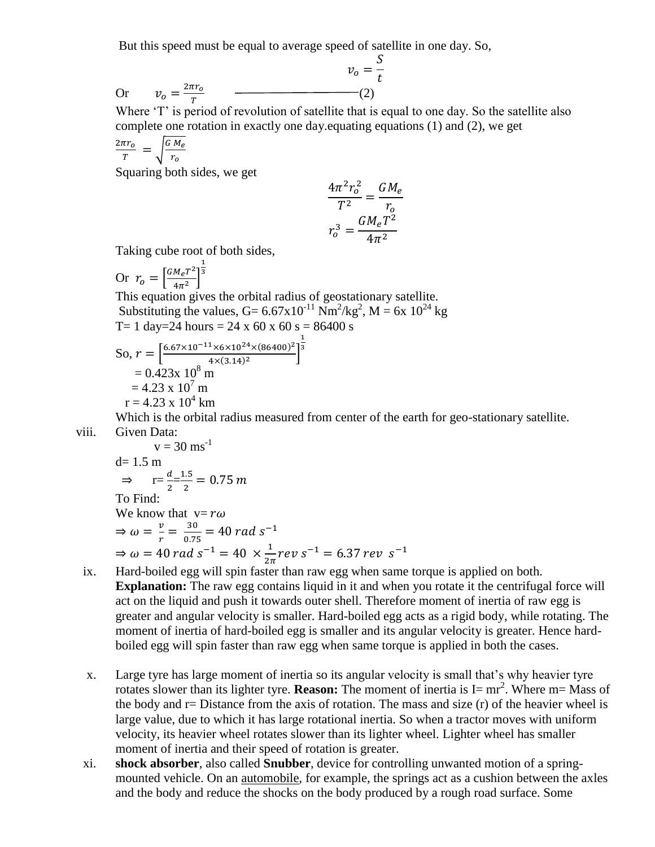But this speed must be equal to average speed of satellite in one day. So,

$$
v_o = \frac{S}{t}
$$
or 
$$
v_o = \frac{2\pi r_o}{T}
$$
 (2)

Where 'T' is period of revolution of satellite that is equal to one day. So the satellite also complete one rotation in exactly one day.equating equations (1) and (2), we get

$$
\frac{2\pi r_o}{T} = \sqrt{\frac{G M_e}{r_o}}
$$

Squaring both sides, we get

$$
\frac{4\pi^2r_o^2}{T^2} = \frac{GM_e}{r_o}
$$

$$
r_o^3 = \frac{GM_eT^2}{4\pi^2}
$$

Taking cube root of both sides,  $\mathbf{1}$ 

Or  $r_o = \left[\frac{GM_e T^2}{4\pi\epsilon^2}\right]$  $\frac{m_{eI}}{4\pi^2}$ 3 This equation gives the orbital radius of geostationary satellite. Substituting the values, G=  $6.67 \times 10^{-11}$  Nm<sup>2</sup>/kg<sup>2</sup>, M =  $6 \times 10^{24}$  kg T= 1 day=24 hours = 24 x 60 x 60 s = 86400 s

So, 
$$
r = \left[\frac{6.67 \times 10^{-11} \times 6 \times 10^{24} \times (86400)^2}{4 \times (3.14)^2}\right]^{\frac{1}{3}}
$$
  
= 0.423x 10<sup>8</sup> m  
= 4.23 x 10<sup>7</sup> m  
r = 4.23 x 10<sup>4</sup> km

Which is the orbital radius measured from center of the earth for geo-stationary satellite. viii. Given Data:

$$
v = 30 \text{ ms}^{-1}
$$
  
\nd= 1.5 m  
\n
$$
\Rightarrow r = \frac{d}{2} = \frac{1.5}{2} = 0.75 \text{ m}
$$
  
\nTo Find:  
\nWe know that  $v = r\omega$   
\n
$$
\Rightarrow \omega = \frac{v}{r} = \frac{30}{0.75} = 40 \text{ rad s}^{-1}
$$
  
\n
$$
\Rightarrow \omega = 40 \text{ rad s}^{-1} = 40 \times \frac{1}{2\pi} \text{ rev s}^{-1} = 6.37 \text{ rev s}^{-1}
$$

- ix. Hard-boiled egg will spin faster than raw egg when same torque is applied on both. **Explanation:** The raw egg contains liquid in it and when you rotate it the centrifugal force will act on the liquid and push it towards outer shell. Therefore moment of inertia of raw egg is greater and angular velocity is smaller. Hard-boiled egg acts as a rigid body, while rotating. The moment of inertia of hard-boiled egg is smaller and its angular velocity is greater. Hence hardboiled egg will spin faster than raw egg when same torque is applied in both the cases.
- x. Large tyre has large moment of inertia so its angular velocity is small that's why heavier tyre rotates slower than its lighter tyre. **Reason:** The moment of inertia is  $I = mr^2$ . Where  $m = Mass$  of the body and  $r =$  Distance from the axis of rotation. The mass and size  $(r)$  of the heavier wheel is large value, due to which it has large rotational inertia. So when a tractor moves with uniform velocity, its heavier wheel rotates slower than its lighter wheel. Lighter wheel has smaller moment of inertia and their speed of rotation is greater.
- xi. **shock absorber**, also called **Snubber**, device for controlling unwanted motion of a springmounted vehicle. On an [automobile,](https://www.britannica.com/technology/automobile) for example, the springs act as a cushion between the axles and the body and reduce the shocks on the body produced by a rough road surface. Some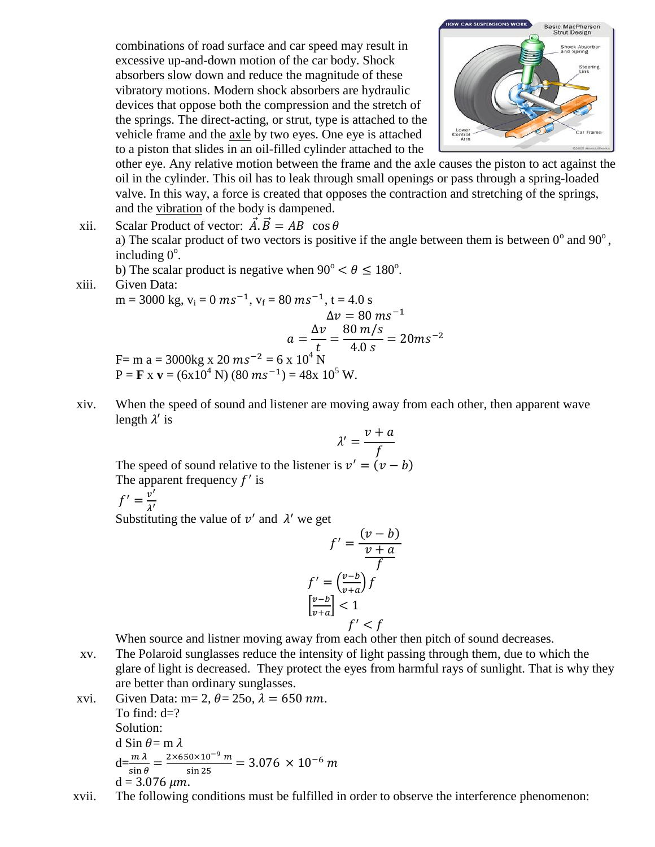combinations of road surface and car speed may result in excessive up-and-down motion of the car body. Shock absorbers slow down and reduce the magnitude of these vibratory motions. Modern shock absorbers are hydraulic devices that oppose both the compression and the stretch of the springs. The direct-acting, or strut, type is attached to the vehicle frame and the [axle](https://www.britannica.com/technology/axle) by two eyes. One eye is attached to a piston that slides in an oil-filled cylinder attached to the



other eye. Any relative motion between the frame and the axle causes the piston to act against the oil in the cylinder. This oil has to leak through small openings or pass through a spring-loaded valve. In this way, a force is created that opposes the contraction and stretching of the springs, and the [vibration](https://www.britannica.com/science/vibration) of the body is dampened.

xii. Scalar Product of vector:  $\vec{A} \cdot \vec{B} = AB \cos \theta$ a) The scalar product of two vectors is positive if the angle between them is between  $0^{\circ}$  and  $90^{\circ}$ , including  $0^\circ$ .

b) The scalar product is negative when  $90^{\circ} < \theta \le 180^{\circ}$ .

xiii. Given Data:

m = 3000 kg, v<sub>i</sub> = 0 ms<sup>-1</sup>, v<sub>f</sub> = 80 ms<sup>-1</sup>, t = 4.0 s  
\n
$$
\Delta v = 80 \text{ ms}^{-1}
$$
\n
$$
a = \frac{\Delta v}{t} = \frac{80 \text{ m/s}}{4.0 \text{ s}} = 20 \text{ ms}^{-2}
$$
\nF= m a = 3000kg x 20 ms<sup>-2</sup> = 6 x 10<sup>4</sup> N  
\nP = **F** x **v** = (6x10<sup>4</sup> N) (80 ms<sup>-1</sup>) = 48x 10<sup>5</sup> W.

xiv. When the speed of sound and listener are moving away from each other, then apparent wave length  $\lambda'$  is

$$
\lambda' = \frac{v + a}{f}
$$

The speed of sound relative to the listener is  $v' = (v - b)$ The apparent frequency  $f'$  is

$$
f'=\frac{v'}{\lambda'}
$$

Substituting the value of  $v'$  and  $\lambda'$  we get

$$
f' = \frac{(v - b)}{\frac{v + a}{f}}
$$

$$
f' = \left(\frac{v - b}{v + a}\right)f
$$

$$
\left[\frac{v - b}{v + a}\right] < 1
$$

$$
f' < f
$$

When source and listner moving away from each other then pitch of sound decreases.

- xv. The Polaroid sunglasses reduce the intensity of light passing through them, due to which the glare of light is decreased. They protect the eyes from harmful rays of sunlight. That is why they are better than ordinary sunglasses.
- xvi. Given Data: m= 2,  $\theta$  = 25o,  $\lambda$  = 650 nm. To find:  $d=?$ Solution: d Sin  $\theta$  = m  $\lambda$  $d = \frac{m \lambda}{\sin \theta} = \frac{2}{\pi}$  $\frac{\sin 25}{\sin 25} =$  $d = 3.076 \mu m$ .

xvii. The following conditions must be fulfilled in order to observe the interference phenomenon: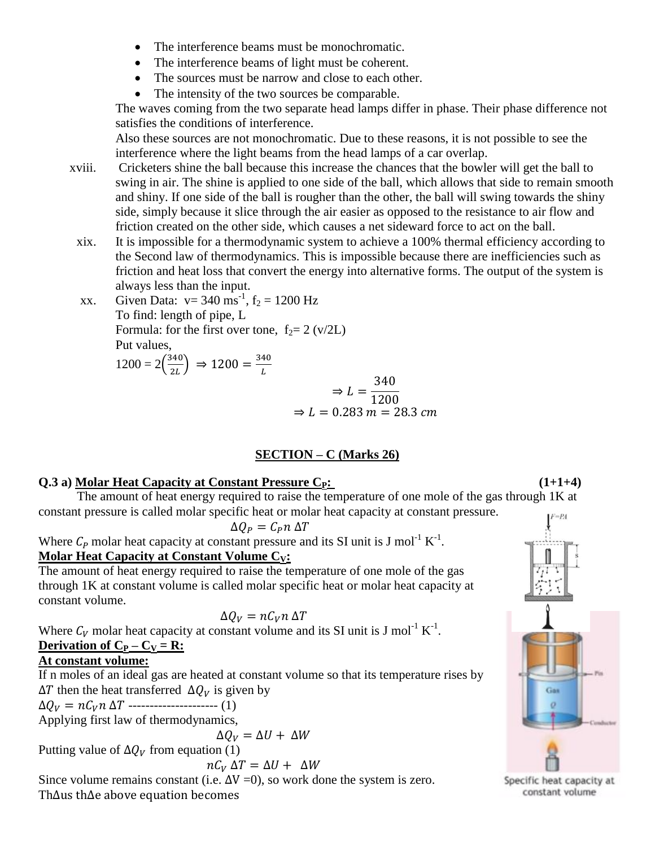- The interference beams must be monochromatic.
- The interference beams of light must be coherent.
- The sources must be narrow and close to each other.
- The intensity of the two sources be comparable.

The waves coming from the two separate head lamps differ in phase. Their phase difference not satisfies the conditions of interference.

Also these sources are not monochromatic. Due to these reasons, it is not possible to see the interference where the light beams from the head lamps of a car overlap.

- xviii. Cricketers shine the ball because this increase the chances that the bowler will get the ball to swing in air. The shine is applied to one side of the ball, which allows that side to remain smooth and shiny. If one side of the ball is rougher than the other, the ball will swing towards the shiny side, simply because it slice through the air easier as opposed to the resistance to air flow and friction created on the other side, which causes a net sideward force to act on the ball.
	- xix. It is impossible for a thermodynamic system to achieve a 100% thermal efficiency according to the Second law of thermodynamics. This is impossible because there are inefficiencies such as friction and heat loss that convert the energy into alternative forms. The output of the system is always less than the input.
	- xx. Given Data:  $v = 340 \text{ ms}^{-1}$ ,  $f_2 = 1200 \text{ Hz}$ To find: length of pipe, L Formula: for the first over tone,  $f_2 = 2 (v/2L)$ Put values,  $1200 = 2\left(\frac{3}{7}\right)$  $\left(\frac{340}{2L}\right) \Rightarrow 1200 = \frac{3}{2}$

$$
\Rightarrow L = \frac{340}{1200}
$$

$$
\Rightarrow L = 0.283 \, m = 28.3 \, cm
$$

# **SECTION – C (Marks 26)**

#### **Q.3 a) Molar Heat Capacity at Constant Pressure C<sub>P</sub>: (1+1+4)**

The amount of heat energy required to raise the temperature of one mole of the gas through 1K at constant pressure is called molar specific heat or molar heat capacity at constant pressure.

 $\Delta Q_P = C_P n \Delta T$ 

L

Where  $C_P$  molar heat capacity at constant pressure and its SI unit is J mol<sup>-1</sup> K<sup>-1</sup>. **Molar Heat Capacity at Constant Volume CV:**

The amount of heat energy required to raise the temperature of one mole of the gas through 1K at constant volume is called molar specific heat or molar heat capacity at constant volume.

$$
\Delta Q_V = nC_V n \Delta T
$$

Where  $C_V$  molar heat capacity at constant volume and its SI unit is J mol<sup>-1</sup> K<sup>-1</sup>. **Derivation of**  $C_P - C_V = R$ **:** 

# **At constant volume:**

If n moles of an ideal gas are heated at constant volume so that its temperature rises by  $\Delta T$  then the heat transferred  $\Delta Q_V$  is given by

 $\Delta Q_V = nC_V n \Delta T$  --------------------- (1)

Applying first law of thermodynamics,

$$
\Delta Q_V = \Delta U + \Delta W
$$

Putting value of  $\Delta Q_V$  from equation (1)

$$
nC_V \Delta T = \Delta U + \Delta W
$$

Since volume remains constant (i.e.  $\Delta V = 0$ ), so work done the system is zero. Th∆us th∆e above equation becomes

Gas

#### Specific heat capacity at constant volume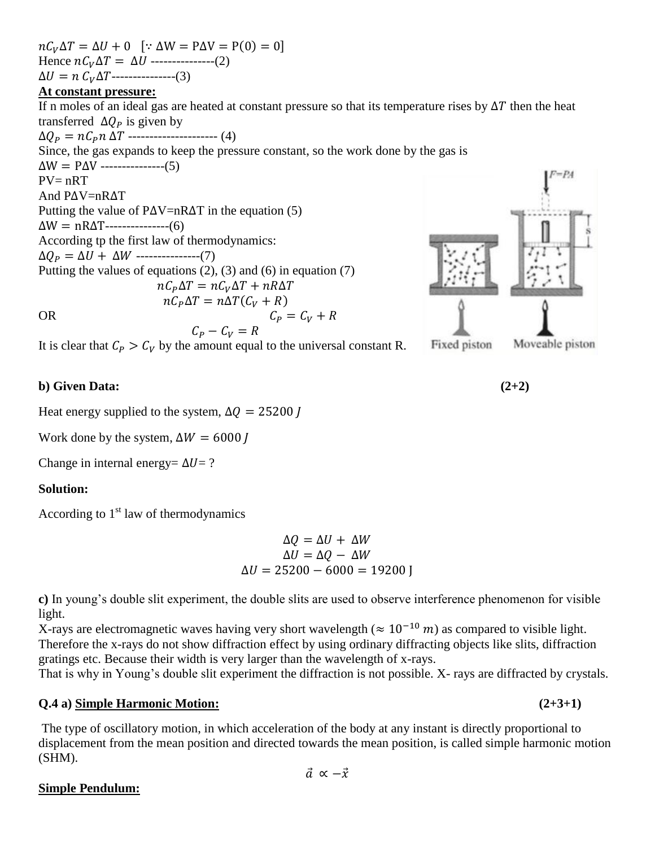$nC_V\Delta T = \Delta U + 0$  [:  $\Delta W = P\Delta V = P(0) = 0$ ] Hence  $nC_V\Delta T = \Delta U$  ---------------(2)  $\Delta U = n C_V \Delta T$ ---------------(3)

#### **At constant pressure:**

If n moles of an ideal gas are heated at constant pressure so that its temperature rises by  $\Delta T$  then the heat transferred  $\Delta Q_P$  is given by  $\Delta Q_P = nC_P n \Delta T$  ---------------------- (4) Since, the gas expands to keep the pressure constant, so the work done by the gas is  $\Delta W = P \Delta V$  ---------------(5)  $PV = nRT$ And  $P\Delta V=nR\Delta T$ Putting the value of  $P\Delta V=nR\Delta T$  in the equation (5)  $\Delta W = \text{nRAT---} \tag{6}$ According tp the first law of thermodynamics:  $\Delta Q_P = \Delta U + \Delta W$  ---------------(7) Putting the values of equations (2), (3) and (6) in equation (7)  $nC_P\Delta T = nC_V\Delta T + nR\Delta T$  $nC_P\Delta T = n\Delta T(C_V + R)$ <br> $C_P = C_V + R$ OR  $C_P - C_V = R$ 

It is clear that  $C_p > C_V$  by the amount equal to the universal constant R.

#### **b) Given Data: (2+2)**

Heat energy supplied to the system,  $\Delta Q = 25200$  J

Work done by the system,  $\Delta W = 6000$  J

Change in internal energy=  $\Delta U = ?$ 

#### **Solution:**

According to  $1<sup>st</sup>$  law of thermodynamics

 $\Delta Q = \Delta U + \Delta W$  $\Delta U = \Delta O - \Delta W$  $\Delta U = 25200 - 6000 = 19200$ 

**c)** In young's double slit experiment, the double slits are used to observe interference phenomenon for visible light.

X-rays are electromagnetic waves having very short wavelength ( $\approx 10^{-10}$  m) as compared to visible light. Therefore the x-rays do not show diffraction effect by using ordinary diffracting objects like slits, diffraction gratings etc. Because their width is very larger than the wavelength of x-rays.

That is why in Young's double slit experiment the diffraction is not possible. X- rays are diffracted by crystals.

#### **Q.4 a) Simple Harmonic Motion: (2+3+1)**

The type of oscillatory motion, in which acceleration of the body at any instant is directly proportional to displacement from the mean position and directed towards the mean position, is called simple harmonic motion (SHM).

$$
\vec{a} \propto -\vec{x}
$$

# **Simple Pendulum:**



Fixed piston

Moveable piston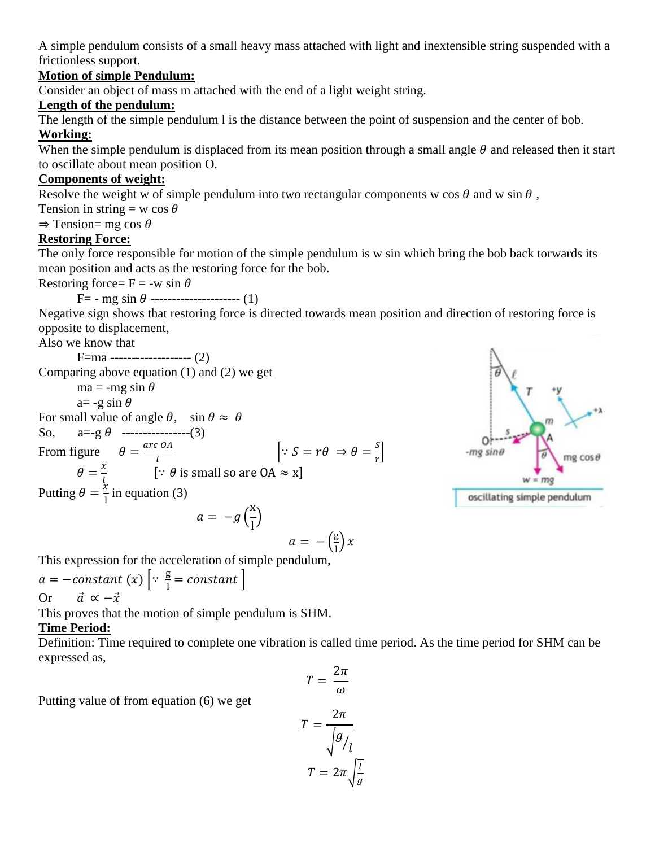A simple pendulum consists of a small heavy mass attached with light and inextensible string suspended with a frictionless support.

#### **Motion of simple Pendulum:**

Consider an object of mass m attached with the end of a light weight string.

#### **Length of the pendulum:**

The length of the simple pendulum 1 is the distance between the point of suspension and the center of bob.

# **Working:**

When the simple pendulum is displaced from its mean position through a small angle  $\theta$  and released then it start to oscillate about mean position O.

#### **Components of weight:**

Resolve the weight w of simple pendulum into two rectangular components w cos  $\theta$  and w sin  $\theta$ ,

Tension in string = w cos  $\theta$ 

#### $\Rightarrow$  Tension= mg cos  $\theta$

#### **Restoring Force:**

The only force responsible for motion of the simple pendulum is w sin which bring the bob back torwards its mean position and acts as the restoring force for the bob.

Restoring force=  $F = -w \sin \theta$ 

 $F=$  - mg sin  $\theta$  ---------------------- (1)

Negative sign shows that restoring force is directed towards mean position and direction of restoring force is opposite to displacement,

Also we know that

F=ma ------------------- (2) Comparing above equation (1) and (2) we get ma = -mg sin  $\theta$  $a=-g \sin \theta$ For small value of angle  $\theta$ , sin  $\theta \approx \theta$ So,  $a=-g \theta$  -----------------(3) From figure  $\theta = \frac{a}{\epsilon}$  $\begin{cases} \because S = r\theta \Rightarrow \theta = \frac{S}{r} \end{cases}$  $\frac{5}{r}$  $\theta = \frac{x}{l}$  $\frac{x}{l}$  [:  $\theta$  is small so are OA  $\approx$  x] Putting  $\theta = \frac{x}{1}$  $\frac{\lambda}{\lambda}$  in equation (3)  $a = -g$ X l )

$$
a = -\left(\frac{\mathrm{g}}{\mathrm{l}}\right)x
$$

This expression for the acceleration of simple pendulum,

 $a = -constant(x)$  :  $\frac{g}{d}$  $\frac{g}{d}$  = constant  $\int$ Or  $\vec{a} \propto -\vec{x}$ 

This proves that the motion of simple pendulum is SHM.

# **Time Period:**

Definition: Time required to complete one vibration is called time period. As the time period for SHM can be expressed as,

$$
T=\frac{2\pi}{\omega}
$$

Putting value of from equation (6) we get

$$
T = \frac{2\pi}{\sqrt{g}/l}
$$

$$
T = 2\pi \sqrt{\frac{l}{g}}
$$

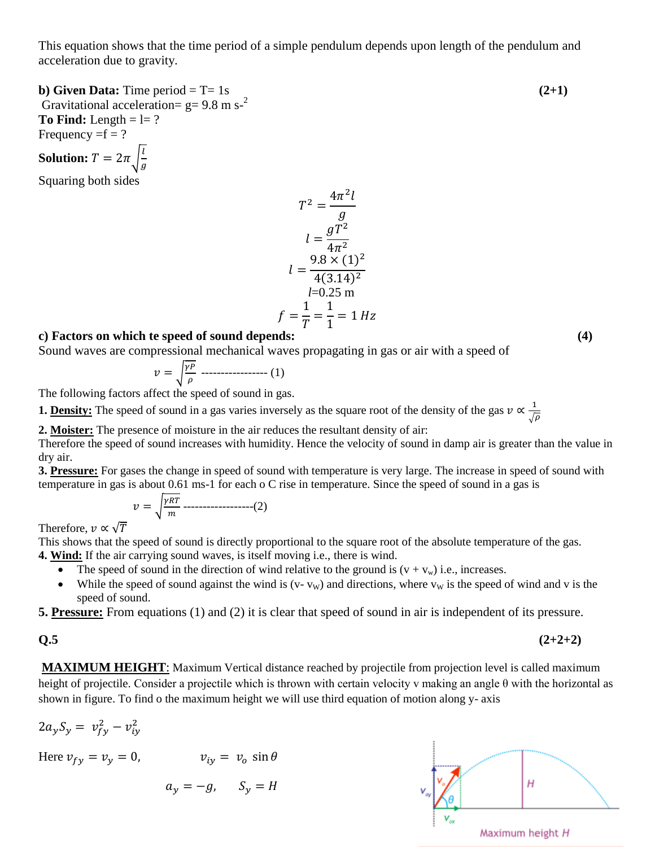This equation shows that the time period of a simple pendulum depends upon length of the pendulum and acceleration due to gravity.

**b) Given Data:** Time period =  $T = 1s$  (2+1) Gravitational acceleration=  $g = 9.8$  m s<sup>-2</sup> **To Find:** Length  $=$   $l=$  ? Frequency  $=$   $f = ?$ **Solution:**  $T = 2\pi \int_{0}^{L}$  $\overline{g}$ Squaring both sides  $T^2 = \frac{4\pi^2 l}{\sqrt{2}}$  $\overline{g}$ l  $gT^2$  $4\pi^2$  $\mathfrak l$  $9.8 \times (1)^2$  $4(3.14)^2$ *l*=0.25 m f  $\mathbf{1}$  $\overline{T}$  $=$  $\mathbf{1}$  $\mathbf{1}$  $=$ 

#### **c) Factors on which te speed of sound depends: (4)**

Sound waves are compressional mechanical waves propagating in gas or air with a speed of

$$
v = \sqrt{\frac{\gamma P}{\rho}}
$$
 3.31 (1)

The following factors affect the speed of sound in gas.

**1. Density:** The speed of sound in a gas varies inversely as the square root of the density of the gas 
$$
v \propto \frac{1}{\sqrt{\rho}}
$$

**2. Moister:** The presence of moisture in the air reduces the resultant density of air:

Therefore the speed of sound increases with humidity. Hence the velocity of sound in damp air is greater than the value in dry air.

**3. Pressure:** For gases the change in speed of sound with temperature is very large. The increase in speed of sound with temperature in gas is about 0.61 ms-1 for each o C rise in temperature. Since the speed of sound in a gas is

$$
v = \sqrt{\frac{\gamma RT}{m}}
$$
............(2)

Therefore,  $v \propto \sqrt{T}$ 

This shows that the speed of sound is directly proportional to the square root of the absolute temperature of the gas. **4. Wind:** If the air carrying sound waves, is itself moving i.e., there is wind.

- The speed of sound in the direction of wind relative to the ground is  $(v + v_w)$  i.e., increases.
- While the speed of sound against the wind is ( $v v_w$ ) and directions, where  $v_w$  is the speed of wind and v is the speed of sound.
- **5. Pressure:** From equations (1) and (2) it is clear that speed of sound in air is independent of its pressure.

$$
\bf Q.5
$$

$$
(2+2+2) \tag{2+2+2}
$$

**MAXIMUM HEIGHT**: Maximum Vertical distance reached by projectile from projection level is called maximum height of projectile. Consider a projectile which is thrown with certain velocity v making an angle θ with the horizontal as shown in figure. To find o the maximum height we will use third equation of motion along y- axis

$$
2a_y S_y = v_{fy}^2 - v_{iy}^2
$$

Here  $v_{fy} = v_y = 0$ ,  $v_{iy} = v_o \sin \theta$ 

$$
a_y = -g, \qquad S_y = H
$$

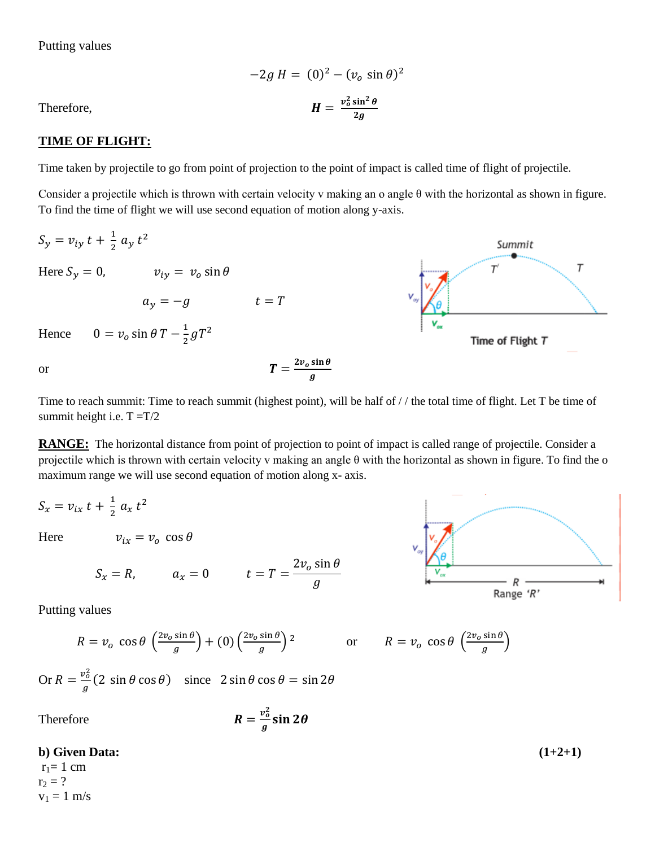Putting values

$$
-2g H = (0)^2 - (v_o \sin \theta)^2
$$

$$
H = \frac{v_o^2 \sin^2 \theta}{2g}
$$

Therefore,

#### **TIME OF FLIGHT:**

Time taken by projectile to go from point of projection to the point of impact is called time of flight of projectile.

Consider a projectile which is thrown with certain velocity v making an o angle θ with the horizontal as shown in figure. To find the time of flight we will use second equation of motion along y-axis.



Time to reach summit: Time to reach summit (highest point), will be half of // the total time of flight. Let T be time of summit height i.e.  $T = T/2$ 

**RANGE:** The horizontal distance from point of projection to point of impact is called range of projectile. Consider a projectile which is thrown with certain velocity v making an angle θ with the horizontal as shown in figure. To find the o maximum range we will use second equation of motion along x- axis.

$$
S_x = v_{ix} t + \frac{1}{2} a_x t^2
$$

Here

 $v_{ix} = v_o \cos \theta$ 

$$
S_x = R, \qquad a_x = 0 \qquad t = T = \frac{2v_o \sin \theta}{g}
$$

Putting values

$$
R = v_o \cos \theta \left(\frac{2v_o \sin \theta}{g}\right) + (0) \left(\frac{2v_o \sin \theta}{g}\right)^2
$$

or 
$$
R = v_o \cos \theta \left( \frac{2v_o \sin \theta}{g} \right)
$$

 $-R -$ Range 'R'

Or  $R = \frac{v_0^2}{r}$  $\frac{\partial \overline{\partial}}{\partial g}$  (2 sin  $\theta$  cos  $\theta$ ) since

Therefore

$$
R=\frac{v_0^2}{g}\sin 2\theta
$$

#### **b) Given Data: (1+2+1)**

 $r_1=1$  cm  $r_2 = ?$  $v_1 = 1$  m/s